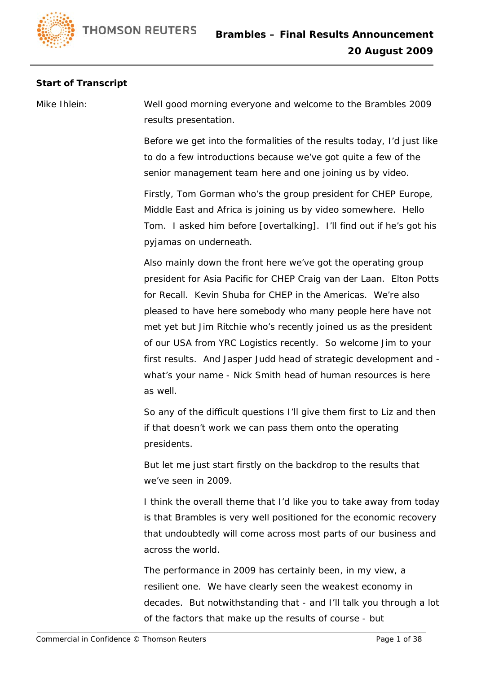## **Start of Transcript**

Mike Ihlein: Well good morning everyone and welcome to the Brambles 2009 results presentation.

> Before we get into the formalities of the results today, I'd just like to do a few introductions because we've got quite a few of the senior management team here and one joining us by video.

> Firstly, Tom Gorman who's the group president for CHEP Europe, Middle East and Africa is joining us by video somewhere. Hello Tom. I asked him before [overtalking]. I'll find out if he's got his pyjamas on underneath.

Also mainly down the front here we've got the operating group president for Asia Pacific for CHEP Craig van der Laan. Elton Potts for Recall. Kevin Shuba for CHEP in the Americas. We're also pleased to have here somebody who many people here have not met yet but Jim Ritchie who's recently joined us as the president of our USA from YRC Logistics recently. So welcome Jim to your first results. And Jasper Judd head of strategic development and what's your name - Nick Smith head of human resources is here as well.

So any of the difficult questions I'll give them first to Liz and then if that doesn't work we can pass them onto the operating presidents.

But let me just start firstly on the backdrop to the results that we've seen in 2009.

I think the overall theme that I'd like you to take away from today is that Brambles is very well positioned for the economic recovery that undoubtedly will come across most parts of our business and across the world.

The performance in 2009 has certainly been, in my view, a resilient one. We have clearly seen the weakest economy in decades. But notwithstanding that - and I'll talk you through a lot of the factors that make up the results of course - but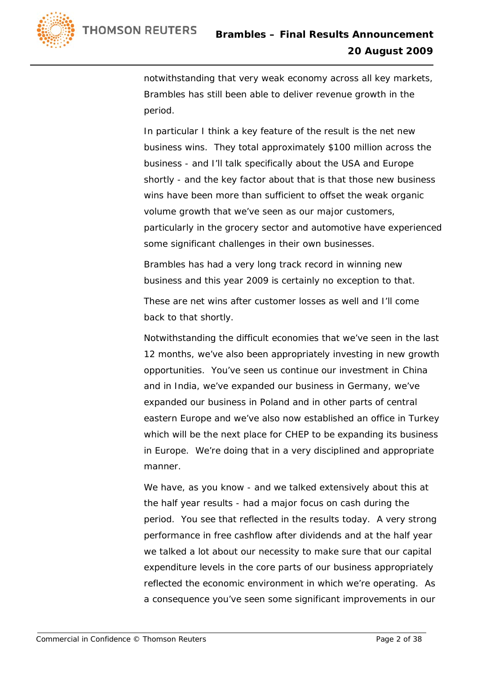

notwithstanding that very weak economy across all key markets, Brambles has still been able to deliver revenue growth in the period.

In particular I think a key feature of the result is the net new business wins. They total approximately \$100 million across the business - and I'll talk specifically about the USA and Europe shortly - and the key factor about that is that those new business wins have been more than sufficient to offset the weak organic volume growth that we've seen as our major customers, particularly in the grocery sector and automotive have experienced some significant challenges in their own businesses.

Brambles has had a very long track record in winning new business and this year 2009 is certainly no exception to that.

These are net wins after customer losses as well and I'll come back to that shortly.

Notwithstanding the difficult economies that we've seen in the last 12 months, we've also been appropriately investing in new growth opportunities. You've seen us continue our investment in China and in India, we've expanded our business in Germany, we've expanded our business in Poland and in other parts of central eastern Europe and we've also now established an office in Turkey which will be the next place for CHEP to be expanding its business in Europe. We're doing that in a very disciplined and appropriate manner.

We have, as you know - and we talked extensively about this at the half year results - had a major focus on cash during the period. You see that reflected in the results today. A very strong performance in free cashflow after dividends and at the half year we talked a lot about our necessity to make sure that our capital expenditure levels in the core parts of our business appropriately reflected the economic environment in which we're operating. As a consequence you've seen some significant improvements in our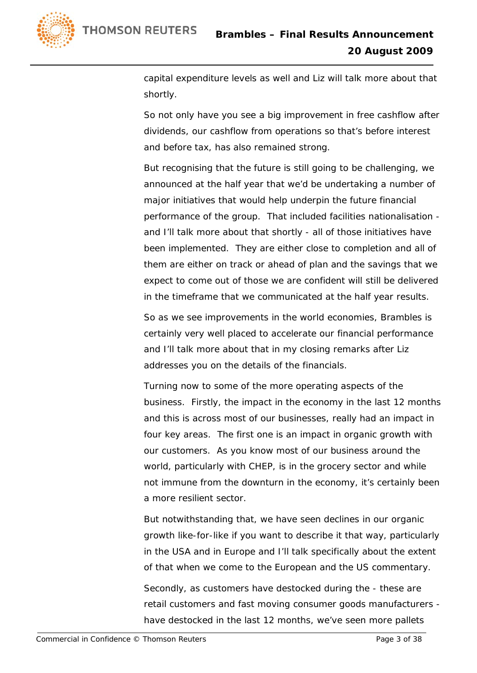

capital expenditure levels as well and Liz will talk more about that shortly.

So not only have you see a big improvement in free cashflow after dividends, our cashflow from operations so that's before interest and before tax, has also remained strong.

But recognising that the future is still going to be challenging, we announced at the half year that we'd be undertaking a number of major initiatives that would help underpin the future financial performance of the group. That included facilities nationalisation and I'll talk more about that shortly - all of those initiatives have been implemented. They are either close to completion and all of them are either on track or ahead of plan and the savings that we expect to come out of those we are confident will still be delivered in the timeframe that we communicated at the half year results.

So as we see improvements in the world economies, Brambles is certainly very well placed to accelerate our financial performance and I'll talk more about that in my closing remarks after Liz addresses you on the details of the financials.

Turning now to some of the more operating aspects of the business. Firstly, the impact in the economy in the last 12 months and this is across most of our businesses, really had an impact in four key areas. The first one is an impact in organic growth with our customers. As you know most of our business around the world, particularly with CHEP, is in the grocery sector and while not immune from the downturn in the economy, it's certainly been a more resilient sector.

But notwithstanding that, we have seen declines in our organic growth like-for-like if you want to describe it that way, particularly in the USA and in Europe and I'll talk specifically about the extent of that when we come to the European and the US commentary.

Secondly, as customers have destocked during the - these are retail customers and fast moving consumer goods manufacturers have destocked in the last 12 months, we've seen more pallets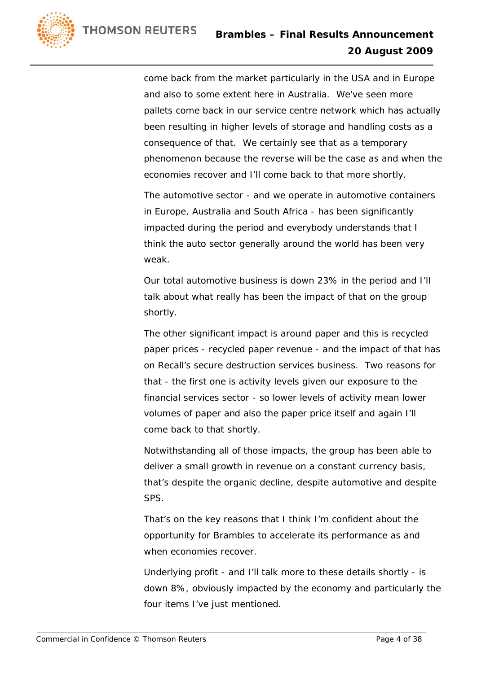

come back from the market particularly in the USA and in Europe and also to some extent here in Australia. We've seen more pallets come back in our service centre network which has actually been resulting in higher levels of storage and handling costs as a consequence of that. We certainly see that as a temporary phenomenon because the reverse will be the case as and when the economies recover and I'll come back to that more shortly.

The automotive sector - and we operate in automotive containers in Europe, Australia and South Africa - has been significantly impacted during the period and everybody understands that I think the auto sector generally around the world has been very weak.

Our total automotive business is down 23% in the period and I'll talk about what really has been the impact of that on the group shortly.

The other significant impact is around paper and this is recycled paper prices - recycled paper revenue - and the impact of that has on Recall's secure destruction services business. Two reasons for that - the first one is activity levels given our exposure to the financial services sector - so lower levels of activity mean lower volumes of paper and also the paper price itself and again I'll come back to that shortly.

Notwithstanding all of those impacts, the group has been able to deliver a small growth in revenue on a constant currency basis, that's despite the organic decline, despite automotive and despite SPS.

That's on the key reasons that I think I'm confident about the opportunity for Brambles to accelerate its performance as and when economies recover.

Underlying profit - and I'll talk more to these details shortly - is down 8%, obviously impacted by the economy and particularly the four items I've just mentioned.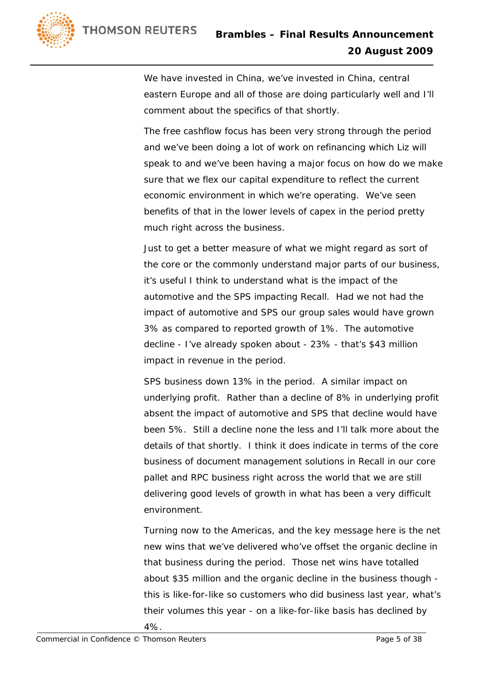

We have invested in China, we've invested in China, central eastern Europe and all of those are doing particularly well and I'll comment about the specifics of that shortly.

The free cashflow focus has been very strong through the period and we've been doing a lot of work on refinancing which Liz will speak to and we've been having a major focus on how do we make sure that we flex our capital expenditure to reflect the current economic environment in which we're operating. We've seen benefits of that in the lower levels of capex in the period pretty much right across the business.

Just to get a better measure of what we might regard as sort of the core or the commonly understand major parts of our business, it's useful I think to understand what is the impact of the automotive and the SPS impacting Recall. Had we not had the impact of automotive and SPS our group sales would have grown 3% as compared to reported growth of 1%. The automotive decline - I've already spoken about - 23% - that's \$43 million impact in revenue in the period.

SPS business down 13% in the period. A similar impact on underlying profit. Rather than a decline of 8% in underlying profit absent the impact of automotive and SPS that decline would have been 5%. Still a decline none the less and I'll talk more about the details of that shortly. I think it does indicate in terms of the core business of document management solutions in Recall in our core pallet and RPC business right across the world that we are still delivering good levels of growth in what has been a very difficult environment.

Turning now to the Americas, and the key message here is the net new wins that we've delivered who've offset the organic decline in that business during the period. Those net wins have totalled about \$35 million and the organic decline in the business though this is like-for-like so customers who did business last year, what's their volumes this year - on a like-for-like basis has declined by 4%.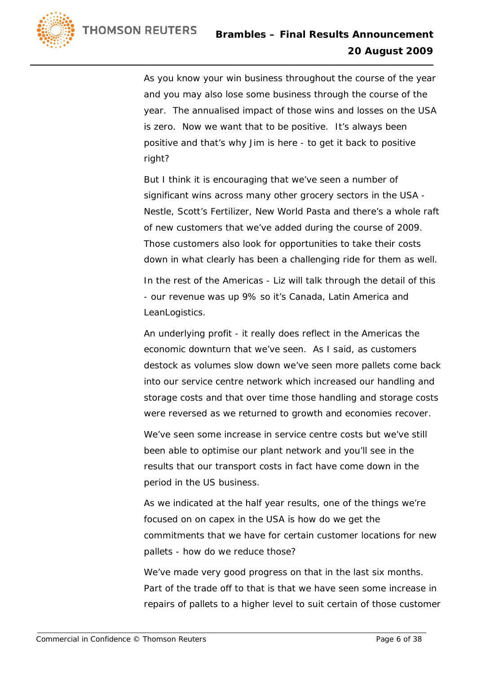

As you know your win business throughout the course of the year and you may also lose some business through the course of the year. The annualised impact of those wins and losses on the USA is zero. Now we want that to be positive. It's always been positive and that's why Jim is here - to get it back to positive right?

But I think it is encouraging that we've seen a number of significant wins across many other grocery sectors in the USA - Nestle, Scott's Fertilizer, New World Pasta and there's a whole raft of new customers that we've added during the course of 2009. Those customers also look for opportunities to take their costs down in what clearly has been a challenging ride for them as well.

In the rest of the Americas - Liz will talk through the detail of this - our revenue was up 9% so it's Canada, Latin America and LeanLogistics.

An underlying profit - it really does reflect in the Americas the economic downturn that we've seen. As I said, as customers destock as volumes slow down we've seen more pallets come back into our service centre network which increased our handling and storage costs and that over time those handling and storage costs were reversed as we returned to growth and economies recover.

We've seen some increase in service centre costs but we've still been able to optimise our plant network and you'll see in the results that our transport costs in fact have come down in the period in the US business.

As we indicated at the half year results, one of the things we're focused on on capex in the USA is how do we get the commitments that we have for certain customer locations for new pallets - how do we reduce those?

We've made very good progress on that in the last six months. Part of the trade off to that is that we have seen some increase in repairs of pallets to a higher level to suit certain of those customer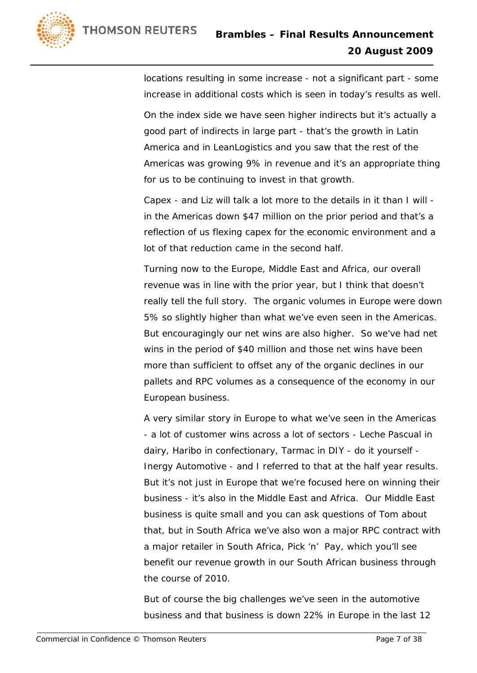

locations resulting in some increase - not a significant part - some increase in additional costs which is seen in today's results as well.

On the index side we have seen higher indirects but it's actually a good part of indirects in large part - that's the growth in Latin America and in LeanLogistics and you saw that the rest of the Americas was growing 9% in revenue and it's an appropriate thing for us to be continuing to invest in that growth.

Capex - and Liz will talk a lot more to the details in it than I will in the Americas down \$47 million on the prior period and that's a reflection of us flexing capex for the economic environment and a lot of that reduction came in the second half.

Turning now to the Europe, Middle East and Africa, our overall revenue was in line with the prior year, but I think that doesn't really tell the full story. The organic volumes in Europe were down 5% so slightly higher than what we've even seen in the Americas. But encouragingly our net wins are also higher. So we've had net wins in the period of \$40 million and those net wins have been more than sufficient to offset any of the organic declines in our pallets and RPC volumes as a consequence of the economy in our European business.

A very similar story in Europe to what we've seen in the Americas - a lot of customer wins across a lot of sectors - Leche Pascual in dairy, Haribo in confectionary, Tarmac in DIY - do it yourself - Inergy Automotive - and I referred to that at the half year results. But it's not just in Europe that we're focused here on winning their business - it's also in the Middle East and Africa. Our Middle East business is quite small and you can ask questions of Tom about that, but in South Africa we've also won a major RPC contract with a major retailer in South Africa, Pick 'n' Pay, which you'll see benefit our revenue growth in our South African business through the course of 2010.

But of course the big challenges we've seen in the automotive business and that business is down 22% in Europe in the last 12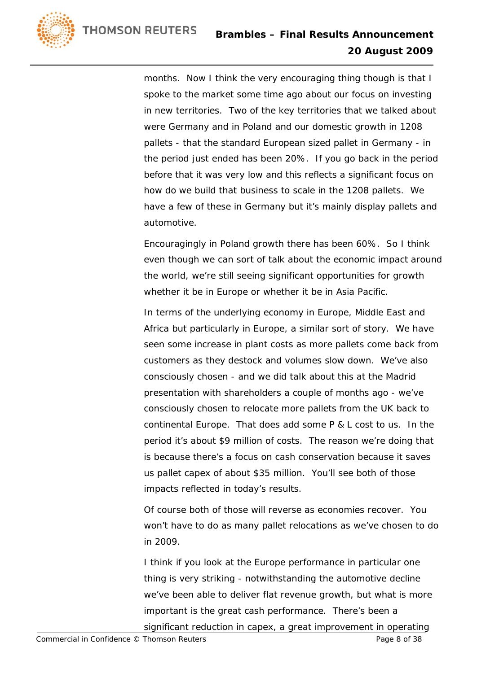

months. Now I think the very encouraging thing though is that I spoke to the market some time ago about our focus on investing in new territories. Two of the key territories that we talked about were Germany and in Poland and our domestic growth in 1208 pallets - that the standard European sized pallet in Germany - in the period just ended has been 20%. If you go back in the period before that it was very low and this reflects a significant focus on how do we build that business to scale in the 1208 pallets. We have a few of these in Germany but it's mainly display pallets and automotive.

Encouragingly in Poland growth there has been 60%. So I think even though we can sort of talk about the economic impact around the world, we're still seeing significant opportunities for growth whether it be in Europe or whether it be in Asia Pacific.

In terms of the underlying economy in Europe, Middle East and Africa but particularly in Europe, a similar sort of story. We have seen some increase in plant costs as more pallets come back from customers as they destock and volumes slow down. We've also consciously chosen - and we did talk about this at the Madrid presentation with shareholders a couple of months ago - we've consciously chosen to relocate more pallets from the UK back to continental Europe. That does add some P & L cost to us. In the period it's about \$9 million of costs. The reason we're doing that is because there's a focus on cash conservation because it saves us pallet capex of about \$35 million. You'll see both of those impacts reflected in today's results.

Of course both of those will reverse as economies recover. You won't have to do as many pallet relocations as we've chosen to do in 2009.

I think if you look at the Europe performance in particular one thing is very striking - notwithstanding the automotive decline we've been able to deliver flat revenue growth, but what is more important is the great cash performance. There's been a significant reduction in capex, a great improvement in operating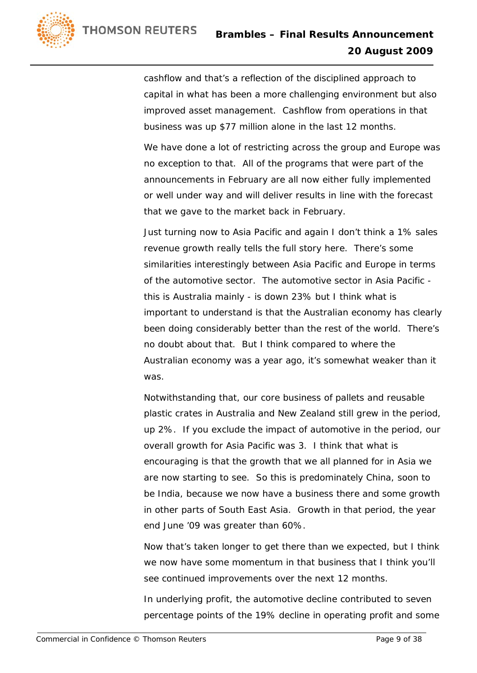

cashflow and that's a reflection of the disciplined approach to capital in what has been a more challenging environment but also improved asset management. Cashflow from operations in that business was up \$77 million alone in the last 12 months.

We have done a lot of restricting across the group and Europe was no exception to that. All of the programs that were part of the announcements in February are all now either fully implemented or well under way and will deliver results in line with the forecast that we gave to the market back in February.

Just turning now to Asia Pacific and again I don't think a 1% sales revenue growth really tells the full story here. There's some similarities interestingly between Asia Pacific and Europe in terms of the automotive sector. The automotive sector in Asia Pacific this is Australia mainly - is down 23% but I think what is important to understand is that the Australian economy has clearly been doing considerably better than the rest of the world. There's no doubt about that. But I think compared to where the Australian economy was a year ago, it's somewhat weaker than it was.

Notwithstanding that, our core business of pallets and reusable plastic crates in Australia and New Zealand still grew in the period, up 2%. If you exclude the impact of automotive in the period, our overall growth for Asia Pacific was 3. I think that what is encouraging is that the growth that we all planned for in Asia we are now starting to see. So this is predominately China, soon to be India, because we now have a business there and some growth in other parts of South East Asia. Growth in that period, the year end June '09 was greater than 60%.

Now that's taken longer to get there than we expected, but I think we now have some momentum in that business that I think you'll see continued improvements over the next 12 months.

In underlying profit, the automotive decline contributed to seven percentage points of the 19% decline in operating profit and some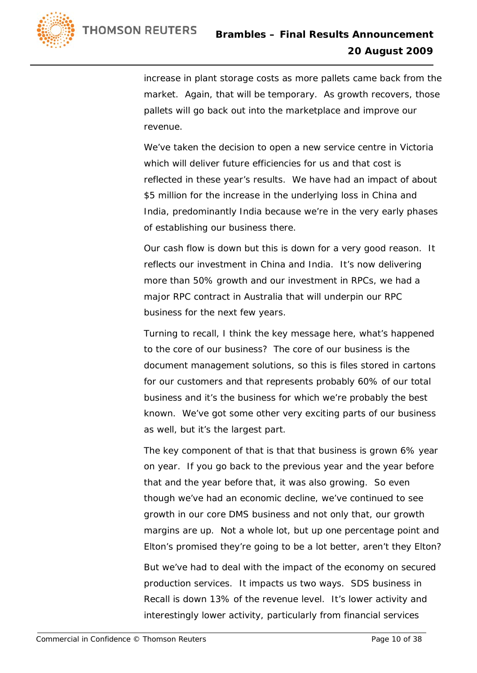

increase in plant storage costs as more pallets came back from the market. Again, that will be temporary. As growth recovers, those pallets will go back out into the marketplace and improve our revenue.

We've taken the decision to open a new service centre in Victoria which will deliver future efficiencies for us and that cost is reflected in these year's results. We have had an impact of about \$5 million for the increase in the underlying loss in China and India, predominantly India because we're in the very early phases of establishing our business there.

Our cash flow is down but this is down for a very good reason. It reflects our investment in China and India. It's now delivering more than 50% growth and our investment in RPCs, we had a major RPC contract in Australia that will underpin our RPC business for the next few years.

Turning to recall, I think the key message here, what's happened to the core of our business? The core of our business is the document management solutions, so this is files stored in cartons for our customers and that represents probably 60% of our total business and it's the business for which we're probably the best known. We've got some other very exciting parts of our business as well, but it's the largest part.

The key component of that is that that business is grown 6% year on year. If you go back to the previous year and the year before that and the year before that, it was also growing. So even though we've had an economic decline, we've continued to see growth in our core DMS business and not only that, our growth margins are up. Not a whole lot, but up one percentage point and Elton's promised they're going to be a lot better, aren't they Elton?

But we've had to deal with the impact of the economy on secured production services. It impacts us two ways. SDS business in Recall is down 13% of the revenue level. It's lower activity and interestingly lower activity, particularly from financial services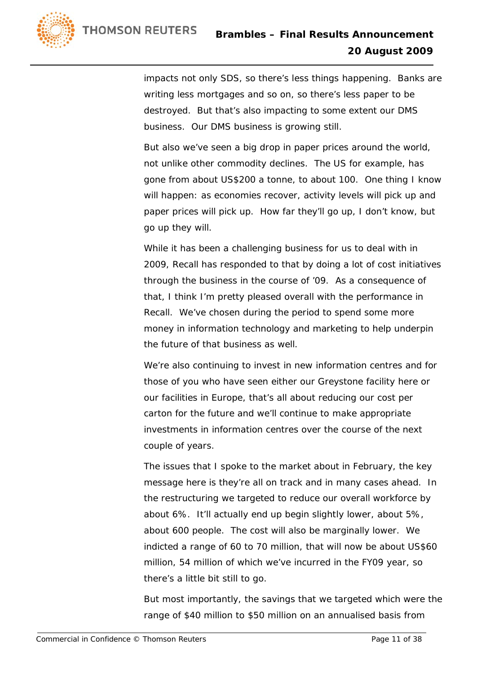

impacts not only SDS, so there's less things happening. Banks are writing less mortgages and so on, so there's less paper to be destroyed. But that's also impacting to some extent our DMS business. Our DMS business is growing still.

But also we've seen a big drop in paper prices around the world, not unlike other commodity declines. The US for example, has gone from about US\$200 a tonne, to about 100. One thing I know will happen: as economies recover, activity levels will pick up and paper prices will pick up. How far they'll go up, I don't know, but go up they will.

While it has been a challenging business for us to deal with in 2009, Recall has responded to that by doing a lot of cost initiatives through the business in the course of '09. As a consequence of that, I think I'm pretty pleased overall with the performance in Recall. We've chosen during the period to spend some more money in information technology and marketing to help underpin the future of that business as well.

We're also continuing to invest in new information centres and for those of you who have seen either our Greystone facility here or our facilities in Europe, that's all about reducing our cost per carton for the future and we'll continue to make appropriate investments in information centres over the course of the next couple of years.

The issues that I spoke to the market about in February, the key message here is they're all on track and in many cases ahead. In the restructuring we targeted to reduce our overall workforce by about 6%. It'll actually end up begin slightly lower, about 5%, about 600 people. The cost will also be marginally lower. We indicted a range of 60 to 70 million, that will now be about US\$60 million, 54 million of which we've incurred in the FY09 year, so there's a little bit still to go.

But most importantly, the savings that we targeted which were the range of \$40 million to \$50 million on an annualised basis from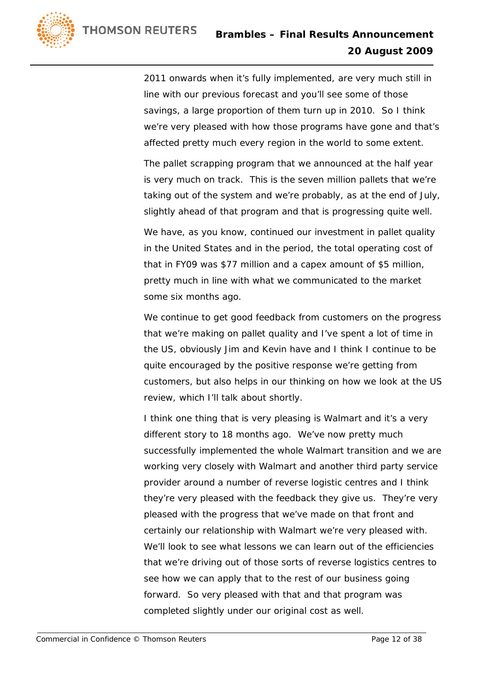

2011 onwards when it's fully implemented, are very much still in line with our previous forecast and you'll see some of those savings, a large proportion of them turn up in 2010. So I think we're very pleased with how those programs have gone and that's affected pretty much every region in the world to some extent.

The pallet scrapping program that we announced at the half year is very much on track. This is the seven million pallets that we're taking out of the system and we're probably, as at the end of July, slightly ahead of that program and that is progressing quite well.

We have, as you know, continued our investment in pallet quality in the United States and in the period, the total operating cost of that in FY09 was \$77 million and a capex amount of \$5 million, pretty much in line with what we communicated to the market some six months ago.

We continue to get good feedback from customers on the progress that we're making on pallet quality and I've spent a lot of time in the US, obviously Jim and Kevin have and I think I continue to be quite encouraged by the positive response we're getting from customers, but also helps in our thinking on how we look at the US review, which I'll talk about shortly.

I think one thing that is very pleasing is Walmart and it's a very different story to 18 months ago. We've now pretty much successfully implemented the whole Walmart transition and we are working very closely with Walmart and another third party service provider around a number of reverse logistic centres and I think they're very pleased with the feedback they give us. They're very pleased with the progress that we've made on that front and certainly our relationship with Walmart we're very pleased with. We'll look to see what lessons we can learn out of the efficiencies that we're driving out of those sorts of reverse logistics centres to see how we can apply that to the rest of our business going forward. So very pleased with that and that program was completed slightly under our original cost as well.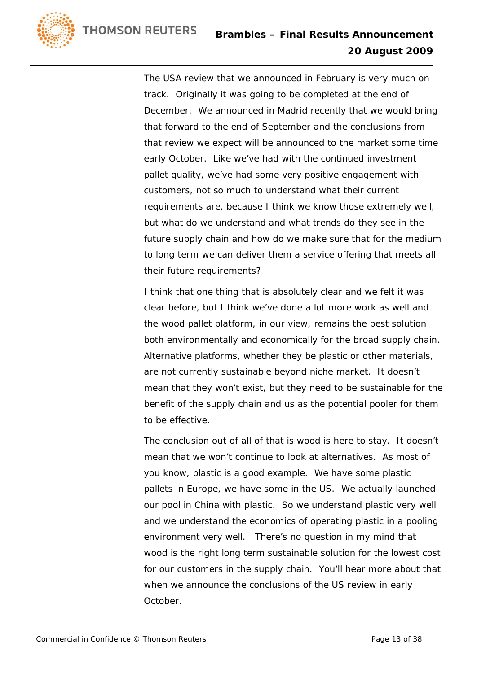

The USA review that we announced in February is very much on track. Originally it was going to be completed at the end of December. We announced in Madrid recently that we would bring that forward to the end of September and the conclusions from that review we expect will be announced to the market some time early October. Like we've had with the continued investment pallet quality, we've had some very positive engagement with customers, not so much to understand what their current requirements are, because I think we know those extremely well, but what do we understand and what trends do they see in the future supply chain and how do we make sure that for the medium to long term we can deliver them a service offering that meets all their future requirements?

I think that one thing that is absolutely clear and we felt it was clear before, but I think we've done a lot more work as well and the wood pallet platform, in our view, remains the best solution both environmentally and economically for the broad supply chain. Alternative platforms, whether they be plastic or other materials, are not currently sustainable beyond niche market. It doesn't mean that they won't exist, but they need to be sustainable for the benefit of the supply chain and us as the potential pooler for them to be effective.

The conclusion out of all of that is wood is here to stay. It doesn't mean that we won't continue to look at alternatives. As most of you know, plastic is a good example. We have some plastic pallets in Europe, we have some in the US. We actually launched our pool in China with plastic. So we understand plastic very well and we understand the economics of operating plastic in a pooling environment very well. There's no question in my mind that wood is the right long term sustainable solution for the lowest cost for our customers in the supply chain. You'll hear more about that when we announce the conclusions of the US review in early October.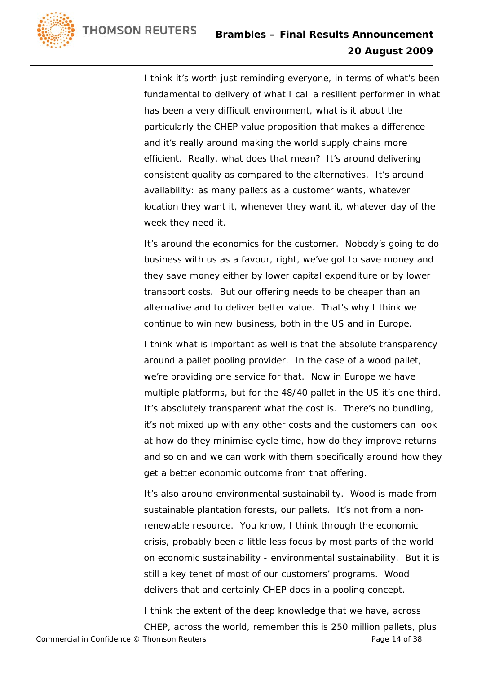

I think it's worth just reminding everyone, in terms of what's been fundamental to delivery of what I call a resilient performer in what has been a very difficult environment, what is it about the particularly the CHEP value proposition that makes a difference and it's really around making the world supply chains more efficient. Really, what does that mean? It's around delivering consistent quality as compared to the alternatives. It's around availability: as many pallets as a customer wants, whatever location they want it, whenever they want it, whatever day of the week they need it.

It's around the economics for the customer. Nobody's going to do business with us as a favour, right, we've got to save money and they save money either by lower capital expenditure or by lower transport costs. But our offering needs to be cheaper than an alternative and to deliver better value. That's why I think we continue to win new business, both in the US and in Europe.

I think what is important as well is that the absolute transparency around a pallet pooling provider. In the case of a wood pallet, we're providing one service for that. Now in Europe we have multiple platforms, but for the 48/40 pallet in the US it's one third. It's absolutely transparent what the cost is. There's no bundling, it's not mixed up with any other costs and the customers can look at how do they minimise cycle time, how do they improve returns and so on and we can work with them specifically around how they get a better economic outcome from that offering.

It's also around environmental sustainability. Wood is made from sustainable plantation forests, our pallets. It's not from a nonrenewable resource. You know, I think through the economic crisis, probably been a little less focus by most parts of the world on economic sustainability - environmental sustainability. But it is still a key tenet of most of our customers' programs. Wood delivers that and certainly CHEP does in a pooling concept.

I think the extent of the deep knowledge that we have, across CHEP, across the world, remember this is 250 million pallets, plus

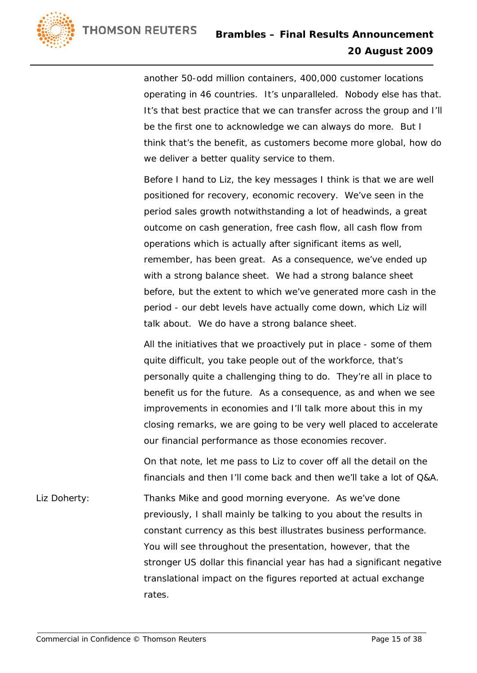

another 50-odd million containers, 400,000 customer locations operating in 46 countries. It's unparalleled. Nobody else has that. It's that best practice that we can transfer across the group and I'll be the first one to acknowledge we can always do more. But I think that's the benefit, as customers become more global, how do we deliver a better quality service to them.

Before I hand to Liz, the key messages I think is that we are well positioned for recovery, economic recovery. We've seen in the period sales growth notwithstanding a lot of headwinds, a great outcome on cash generation, free cash flow, all cash flow from operations which is actually after significant items as well, remember, has been great. As a consequence, we've ended up with a strong balance sheet. We had a strong balance sheet before, but the extent to which we've generated more cash in the period - our debt levels have actually come down, which Liz will talk about. We do have a strong balance sheet.

All the initiatives that we proactively put in place - some of them quite difficult, you take people out of the workforce, that's personally quite a challenging thing to do. They're all in place to benefit us for the future. As a consequence, as and when we see improvements in economies and I'll talk more about this in my closing remarks, we are going to be very well placed to accelerate our financial performance as those economies recover.

On that note, let me pass to Liz to cover off all the detail on the financials and then I'll come back and then we'll take a lot of Q&A.

Liz Doherty: Thanks Mike and good morning everyone. As we've done previously, I shall mainly be talking to you about the results in constant currency as this best illustrates business performance. You will see throughout the presentation, however, that the stronger US dollar this financial year has had a significant negative translational impact on the figures reported at actual exchange rates.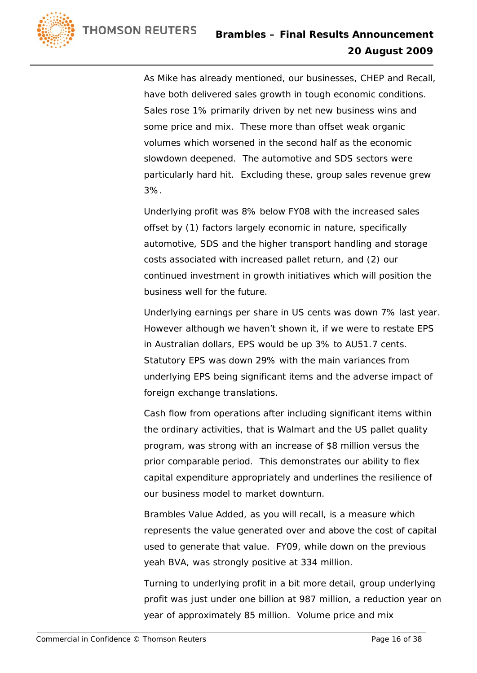

As Mike has already mentioned, our businesses, CHEP and Recall, have both delivered sales growth in tough economic conditions. Sales rose 1% primarily driven by net new business wins and some price and mix. These more than offset weak organic volumes which worsened in the second half as the economic slowdown deepened. The automotive and SDS sectors were particularly hard hit. Excluding these, group sales revenue grew 3%.

Underlying profit was 8% below FY08 with the increased sales offset by (1) factors largely economic in nature, specifically automotive, SDS and the higher transport handling and storage costs associated with increased pallet return, and (2) our continued investment in growth initiatives which will position the business well for the future.

Underlying earnings per share in US cents was down 7% last year. However although we haven't shown it, if we were to restate EPS in Australian dollars, EPS would be up 3% to AU51.7 cents. Statutory EPS was down 29% with the main variances from underlying EPS being significant items and the adverse impact of foreign exchange translations.

Cash flow from operations after including significant items within the ordinary activities, that is Walmart and the US pallet quality program, was strong with an increase of \$8 million versus the prior comparable period. This demonstrates our ability to flex capital expenditure appropriately and underlines the resilience of our business model to market downturn.

Brambles Value Added, as you will recall, is a measure which represents the value generated over and above the cost of capital used to generate that value. FY09, while down on the previous yeah BVA, was strongly positive at 334 million.

Turning to underlying profit in a bit more detail, group underlying profit was just under one billion at 987 million, a reduction year on year of approximately 85 million. Volume price and mix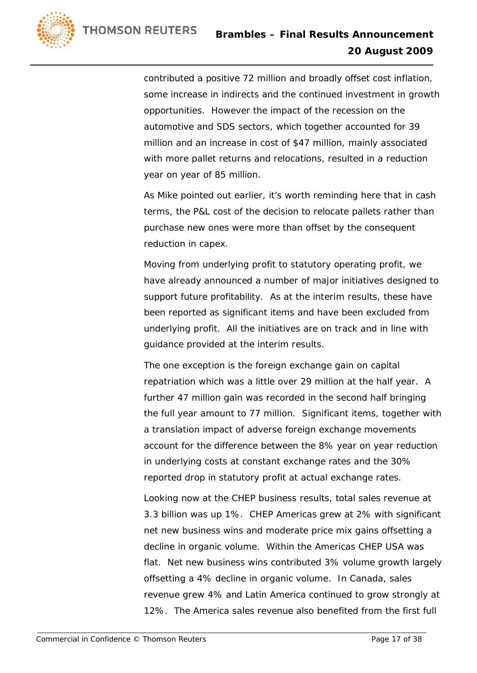

contributed a positive 72 million and broadly offset cost inflation, some increase in indirects and the continued investment in growth opportunities. However the impact of the recession on the automotive and SDS sectors, which together accounted for 39 million and an increase in cost of \$47 million, mainly associated with more pallet returns and relocations, resulted in a reduction year on year of 85 million.

As Mike pointed out earlier, it's worth reminding here that in cash terms, the P&L cost of the decision to relocate pallets rather than purchase new ones were more than offset by the consequent reduction in capex.

Moving from underlying profit to statutory operating profit, we have already announced a number of major initiatives designed to support future profitability. As at the interim results, these have been reported as significant items and have been excluded from underlying profit. All the initiatives are on track and in line with guidance provided at the interim results.

The one exception is the foreign exchange gain on capital repatriation which was a little over 29 million at the half year. A further 47 million gain was recorded in the second half bringing the full year amount to 77 million. Significant items, together with a translation impact of adverse foreign exchange movements account for the difference between the 8% year on year reduction in underlying costs at constant exchange rates and the 30% reported drop in statutory profit at actual exchange rates.

Looking now at the CHEP business results, total sales revenue at 3.3 billion was up 1%. CHEP Americas grew at 2% with significant net new business wins and moderate price mix gains offsetting a decline in organic volume. Within the Americas CHEP USA was flat. Net new business wins contributed 3% volume growth largely offsetting a 4% decline in organic volume. In Canada, sales revenue grew 4% and Latin America continued to grow strongly at 12%. The America sales revenue also benefited from the first full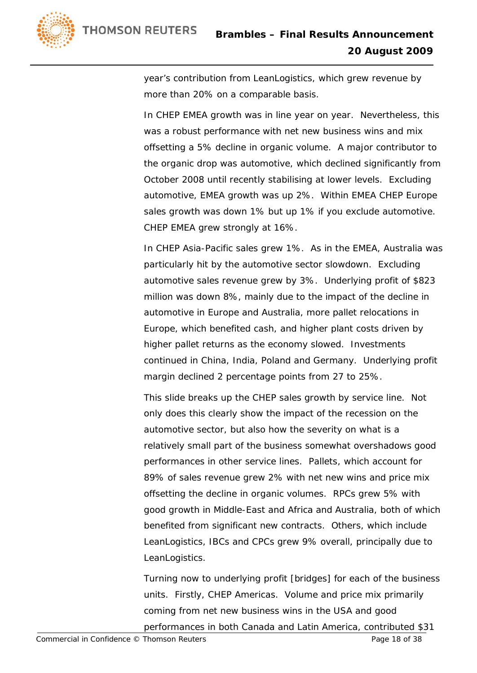

year's contribution from LeanLogistics, which grew revenue by more than 20% on a comparable basis.

In CHEP EMEA growth was in line year on year. Nevertheless, this was a robust performance with net new business wins and mix offsetting a 5% decline in organic volume. A major contributor to the organic drop was automotive, which declined significantly from October 2008 until recently stabilising at lower levels. Excluding automotive, EMEA growth was up 2%. Within EMEA CHEP Europe sales growth was down 1% but up 1% if you exclude automotive. CHEP EMEA grew strongly at 16%.

In CHEP Asia-Pacific sales grew 1%. As in the EMEA, Australia was particularly hit by the automotive sector slowdown. Excluding automotive sales revenue grew by 3%. Underlying profit of \$823 million was down 8%, mainly due to the impact of the decline in automotive in Europe and Australia, more pallet relocations in Europe, which benefited cash, and higher plant costs driven by higher pallet returns as the economy slowed. Investments continued in China, India, Poland and Germany. Underlying profit margin declined 2 percentage points from 27 to 25%.

This slide breaks up the CHEP sales growth by service line. Not only does this clearly show the impact of the recession on the automotive sector, but also how the severity on what is a relatively small part of the business somewhat overshadows good performances in other service lines. Pallets, which account for 89% of sales revenue grew 2% with net new wins and price mix offsetting the decline in organic volumes. RPCs grew 5% with good growth in Middle-East and Africa and Australia, both of which benefited from significant new contracts. Others, which include LeanLogistics, IBCs and CPCs grew 9% overall, principally due to LeanLogistics.

Turning now to underlying profit [bridges] for each of the business units. Firstly, CHEP Americas. Volume and price mix primarily coming from net new business wins in the USA and good performances in both Canada and Latin America, contributed \$31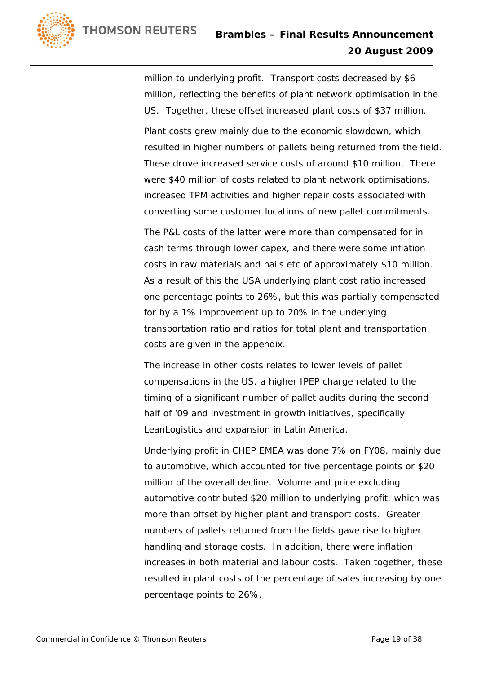

million to underlying profit. Transport costs decreased by \$6 million, reflecting the benefits of plant network optimisation in the US. Together, these offset increased plant costs of \$37 million.

Plant costs grew mainly due to the economic slowdown, which resulted in higher numbers of pallets being returned from the field. These drove increased service costs of around \$10 million. There were \$40 million of costs related to plant network optimisations, increased TPM activities and higher repair costs associated with converting some customer locations of new pallet commitments.

The P&L costs of the latter were more than compensated for in cash terms through lower capex, and there were some inflation costs in raw materials and nails etc of approximately \$10 million. As a result of this the USA underlying plant cost ratio increased one percentage points to 26%, but this was partially compensated for by a 1% improvement up to 20% in the underlying transportation ratio and ratios for total plant and transportation costs are given in the appendix.

The increase in other costs relates to lower levels of pallet compensations in the US, a higher IPEP charge related to the timing of a significant number of pallet audits during the second half of '09 and investment in growth initiatives, specifically LeanLogistics and expansion in Latin America.

Underlying profit in CHEP EMEA was done 7% on FY08, mainly due to automotive, which accounted for five percentage points or \$20 million of the overall decline. Volume and price excluding automotive contributed \$20 million to underlying profit, which was more than offset by higher plant and transport costs. Greater numbers of pallets returned from the fields gave rise to higher handling and storage costs. In addition, there were inflation increases in both material and labour costs. Taken together, these resulted in plant costs of the percentage of sales increasing by one percentage points to 26%.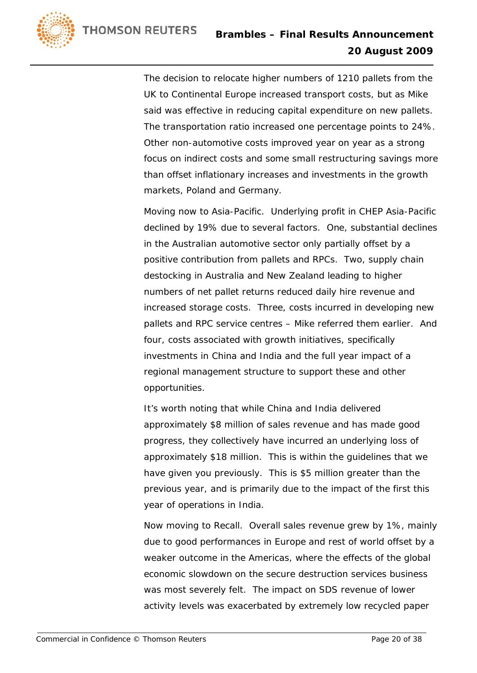

The decision to relocate higher numbers of 1210 pallets from the UK to Continental Europe increased transport costs, but as Mike said was effective in reducing capital expenditure on new pallets. The transportation ratio increased one percentage points to 24%. Other non-automotive costs improved year on year as a strong focus on indirect costs and some small restructuring savings more than offset inflationary increases and investments in the growth markets, Poland and Germany.

Moving now to Asia-Pacific. Underlying profit in CHEP Asia-Pacific declined by 19% due to several factors. One, substantial declines in the Australian automotive sector only partially offset by a positive contribution from pallets and RPCs. Two, supply chain destocking in Australia and New Zealand leading to higher numbers of net pallet returns reduced daily hire revenue and increased storage costs. Three, costs incurred in developing new pallets and RPC service centres – Mike referred them earlier. And four, costs associated with growth initiatives, specifically investments in China and India and the full year impact of a regional management structure to support these and other opportunities.

It's worth noting that while China and India delivered approximately \$8 million of sales revenue and has made good progress, they collectively have incurred an underlying loss of approximately \$18 million. This is within the guidelines that we have given you previously. This is \$5 million greater than the previous year, and is primarily due to the impact of the first this year of operations in India.

Now moving to Recall. Overall sales revenue grew by 1%, mainly due to good performances in Europe and rest of world offset by a weaker outcome in the Americas, where the effects of the global economic slowdown on the secure destruction services business was most severely felt. The impact on SDS revenue of lower activity levels was exacerbated by extremely low recycled paper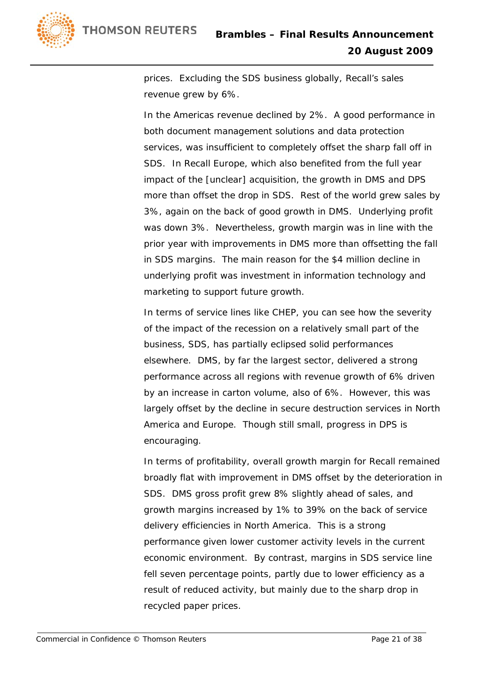

prices. Excluding the SDS business globally, Recall's sales revenue grew by 6%.

In the Americas revenue declined by 2%. A good performance in both document management solutions and data protection services, was insufficient to completely offset the sharp fall off in SDS. In Recall Europe, which also benefited from the full year impact of the [unclear] acquisition, the growth in DMS and DPS more than offset the drop in SDS. Rest of the world grew sales by 3%, again on the back of good growth in DMS. Underlying profit was down 3%. Nevertheless, growth margin was in line with the prior year with improvements in DMS more than offsetting the fall in SDS margins. The main reason for the \$4 million decline in underlying profit was investment in information technology and marketing to support future growth.

In terms of service lines like CHEP, you can see how the severity of the impact of the recession on a relatively small part of the business, SDS, has partially eclipsed solid performances elsewhere. DMS, by far the largest sector, delivered a strong performance across all regions with revenue growth of 6% driven by an increase in carton volume, also of 6%. However, this was largely offset by the decline in secure destruction services in North America and Europe. Though still small, progress in DPS is encouraging.

In terms of profitability, overall growth margin for Recall remained broadly flat with improvement in DMS offset by the deterioration in SDS. DMS gross profit grew 8% slightly ahead of sales, and growth margins increased by 1% to 39% on the back of service delivery efficiencies in North America. This is a strong performance given lower customer activity levels in the current economic environment. By contrast, margins in SDS service line fell seven percentage points, partly due to lower efficiency as a result of reduced activity, but mainly due to the sharp drop in recycled paper prices.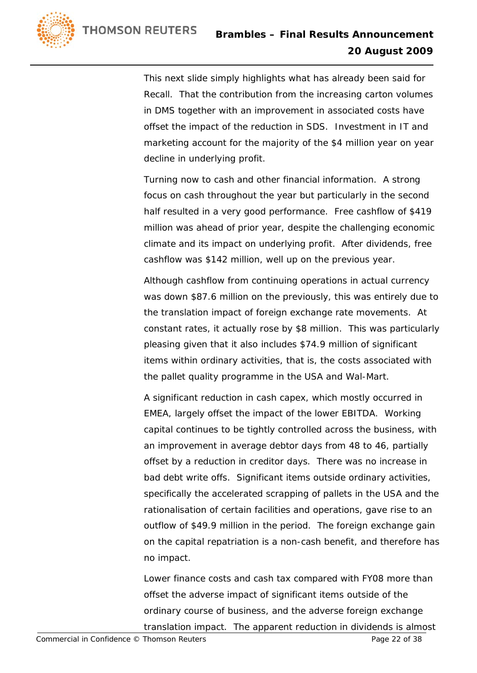

This next slide simply highlights what has already been said for Recall. That the contribution from the increasing carton volumes in DMS together with an improvement in associated costs have offset the impact of the reduction in SDS. Investment in IT and marketing account for the majority of the \$4 million year on year decline in underlying profit.

Turning now to cash and other financial information. A strong focus on cash throughout the year but particularly in the second half resulted in a very good performance. Free cashflow of \$419 million was ahead of prior year, despite the challenging economic climate and its impact on underlying profit. After dividends, free cashflow was \$142 million, well up on the previous year.

Although cashflow from continuing operations in actual currency was down \$87.6 million on the previously, this was entirely due to the translation impact of foreign exchange rate movements. At constant rates, it actually rose by \$8 million. This was particularly pleasing given that it also includes \$74.9 million of significant items within ordinary activities, that is, the costs associated with the pallet quality programme in the USA and Wal-Mart.

A significant reduction in cash capex, which mostly occurred in EMEA, largely offset the impact of the lower EBITDA. Working capital continues to be tightly controlled across the business, with an improvement in average debtor days from 48 to 46, partially offset by a reduction in creditor days. There was no increase in bad debt write offs. Significant items outside ordinary activities, specifically the accelerated scrapping of pallets in the USA and the rationalisation of certain facilities and operations, gave rise to an outflow of \$49.9 million in the period. The foreign exchange gain on the capital repatriation is a non-cash benefit, and therefore has no impact.

Lower finance costs and cash tax compared with FY08 more than offset the adverse impact of significant items outside of the ordinary course of business, and the adverse foreign exchange translation impact. The apparent reduction in dividends is almost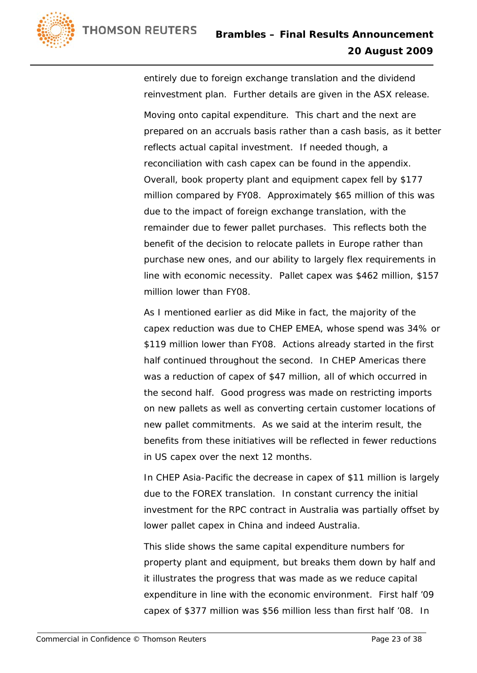

entirely due to foreign exchange translation and the dividend reinvestment plan. Further details are given in the ASX release. Moving onto capital expenditure. This chart and the next are prepared on an accruals basis rather than a cash basis, as it better reflects actual capital investment. If needed though, a reconciliation with cash capex can be found in the appendix. Overall, book property plant and equipment capex fell by \$177 million compared by FY08. Approximately \$65 million of this was due to the impact of foreign exchange translation, with the remainder due to fewer pallet purchases. This reflects both the benefit of the decision to relocate pallets in Europe rather than purchase new ones, and our ability to largely flex requirements in line with economic necessity. Pallet capex was \$462 million, \$157 million lower than FY08.

As I mentioned earlier as did Mike in fact, the majority of the capex reduction was due to CHEP EMEA, whose spend was 34% or \$119 million lower than FY08. Actions already started in the first half continued throughout the second. In CHEP Americas there was a reduction of capex of \$47 million, all of which occurred in the second half. Good progress was made on restricting imports on new pallets as well as converting certain customer locations of new pallet commitments. As we said at the interim result, the benefits from these initiatives will be reflected in fewer reductions in US capex over the next 12 months.

In CHEP Asia-Pacific the decrease in capex of \$11 million is largely due to the FOREX translation. In constant currency the initial investment for the RPC contract in Australia was partially offset by lower pallet capex in China and indeed Australia.

This slide shows the same capital expenditure numbers for property plant and equipment, but breaks them down by half and it illustrates the progress that was made as we reduce capital expenditure in line with the economic environment. First half '09 capex of \$377 million was \$56 million less than first half '08. In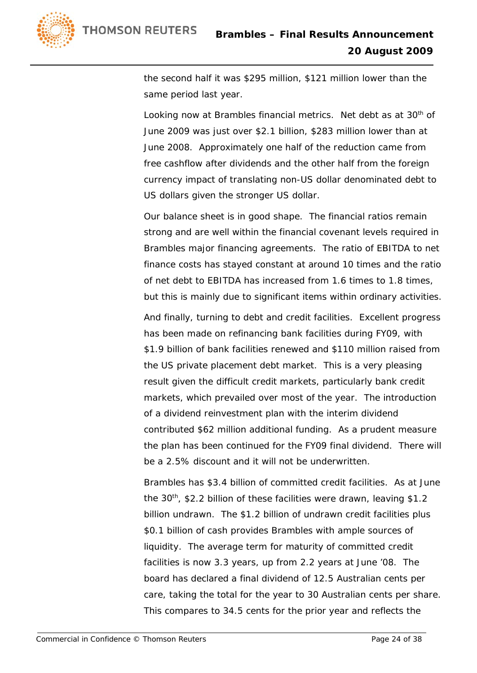

the second half it was \$295 million, \$121 million lower than the same period last year.

Looking now at Brambles financial metrics. Net debt as at 30<sup>th</sup> of June 2009 was just over \$2.1 billion, \$283 million lower than at June 2008. Approximately one half of the reduction came from free cashflow after dividends and the other half from the foreign currency impact of translating non-US dollar denominated debt to US dollars given the stronger US dollar.

Our balance sheet is in good shape. The financial ratios remain strong and are well within the financial covenant levels required in Brambles major financing agreements. The ratio of EBITDA to net finance costs has stayed constant at around 10 times and the ratio of net debt to EBITDA has increased from 1.6 times to 1.8 times, but this is mainly due to significant items within ordinary activities.

And finally, turning to debt and credit facilities. Excellent progress has been made on refinancing bank facilities during FY09, with \$1.9 billion of bank facilities renewed and \$110 million raised from the US private placement debt market. This is a very pleasing result given the difficult credit markets, particularly bank credit markets, which prevailed over most of the year. The introduction of a dividend reinvestment plan with the interim dividend contributed \$62 million additional funding. As a prudent measure the plan has been continued for the FY09 final dividend. There will be a 2.5% discount and it will not be underwritten.

Brambles has \$3.4 billion of committed credit facilities. As at June the 30<sup>th</sup>, \$2.2 billion of these facilities were drawn, leaving \$1.2 billion undrawn. The \$1.2 billion of undrawn credit facilities plus \$0.1 billion of cash provides Brambles with ample sources of liquidity. The average term for maturity of committed credit facilities is now 3.3 years, up from 2.2 years at June '08. The board has declared a final dividend of 12.5 Australian cents per care, taking the total for the year to 30 Australian cents per share. This compares to 34.5 cents for the prior year and reflects the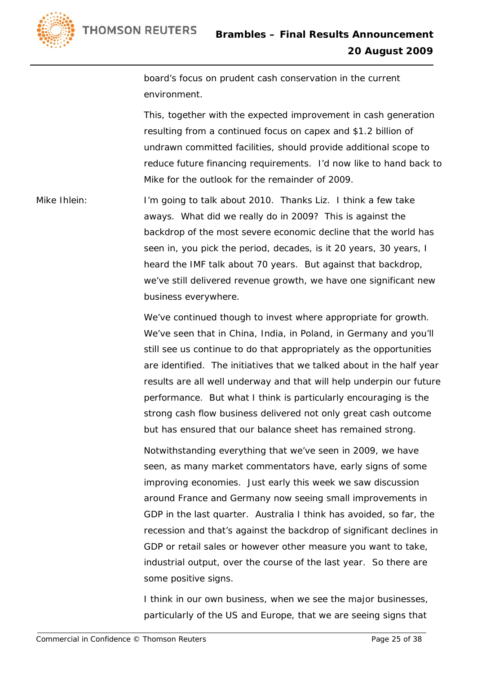

board's focus on prudent cash conservation in the current environment.

This, together with the expected improvement in cash generation resulting from a continued focus on capex and \$1.2 billion of undrawn committed facilities, should provide additional scope to reduce future financing requirements. I'd now like to hand back to Mike for the outlook for the remainder of 2009.

Mike Ihlein: I'm going to talk about 2010. Thanks Liz. I think a few take aways. What did we really do in 2009? This is against the backdrop of the most severe economic decline that the world has seen in, you pick the period, decades, is it 20 years, 30 years, I heard the IMF talk about 70 years. But against that backdrop, we've still delivered revenue growth, we have one significant new business everywhere.

> We've continued though to invest where appropriate for growth. We've seen that in China, India, in Poland, in Germany and you'll still see us continue to do that appropriately as the opportunities are identified. The initiatives that we talked about in the half year results are all well underway and that will help underpin our future performance. But what I think is particularly encouraging is the strong cash flow business delivered not only great cash outcome but has ensured that our balance sheet has remained strong.

> Notwithstanding everything that we've seen in 2009, we have seen, as many market commentators have, early signs of some improving economies. Just early this week we saw discussion around France and Germany now seeing small improvements in GDP in the last quarter. Australia I think has avoided, so far, the recession and that's against the backdrop of significant declines in GDP or retail sales or however other measure you want to take, industrial output, over the course of the last year. So there are some positive signs.

I think in our own business, when we see the major businesses, particularly of the US and Europe, that we are seeing signs that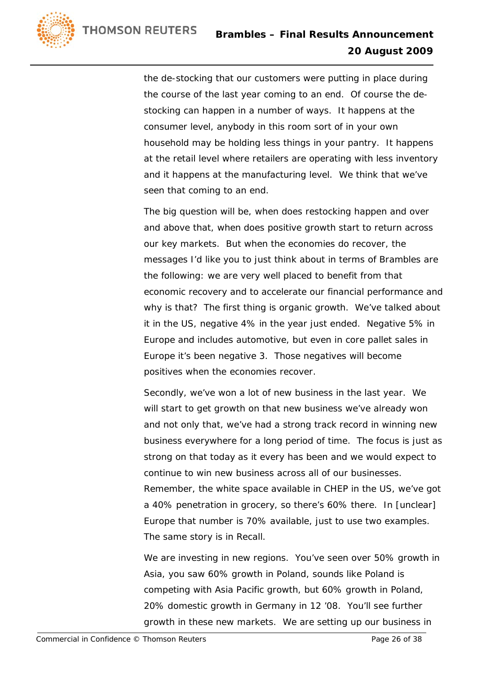

the de-stocking that our customers were putting in place during the course of the last year coming to an end. Of course the destocking can happen in a number of ways. It happens at the consumer level, anybody in this room sort of in your own household may be holding less things in your pantry. It happens at the retail level where retailers are operating with less inventory and it happens at the manufacturing level. We think that we've seen that coming to an end.

The big question will be, when does restocking happen and over and above that, when does positive growth start to return across our key markets. But when the economies do recover, the messages I'd like you to just think about in terms of Brambles are the following: we are very well placed to benefit from that economic recovery and to accelerate our financial performance and why is that? The first thing is organic growth. We've talked about it in the US, negative 4% in the year just ended. Negative 5% in Europe and includes automotive, but even in core pallet sales in Europe it's been negative 3. Those negatives will become positives when the economies recover.

Secondly, we've won a lot of new business in the last year. We will start to get growth on that new business we've already won and not only that, we've had a strong track record in winning new business everywhere for a long period of time. The focus is just as strong on that today as it every has been and we would expect to continue to win new business across all of our businesses. Remember, the white space available in CHEP in the US, we've got a 40% penetration in grocery, so there's 60% there. In [unclear] Europe that number is 70% available, just to use two examples. The same story is in Recall.

We are investing in new regions. You've seen over 50% growth in Asia, you saw 60% growth in Poland, sounds like Poland is competing with Asia Pacific growth, but 60% growth in Poland, 20% domestic growth in Germany in 12 '08. You'll see further growth in these new markets. We are setting up our business in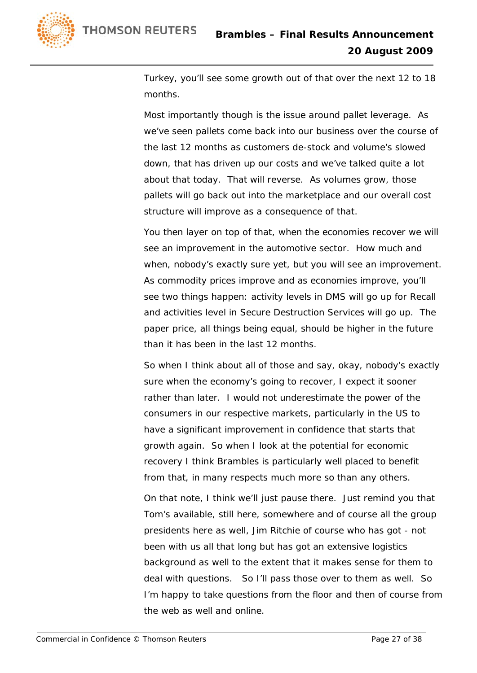

Turkey, you'll see some growth out of that over the next 12 to 18 months.

Most importantly though is the issue around pallet leverage. As we've seen pallets come back into our business over the course of the last 12 months as customers de-stock and volume's slowed down, that has driven up our costs and we've talked quite a lot about that today. That will reverse. As volumes grow, those pallets will go back out into the marketplace and our overall cost structure will improve as a consequence of that.

You then layer on top of that, when the economies recover we will see an improvement in the automotive sector. How much and when, nobody's exactly sure yet, but you will see an improvement. As commodity prices improve and as economies improve, you'll see two things happen: activity levels in DMS will go up for Recall and activities level in Secure Destruction Services will go up. The paper price, all things being equal, should be higher in the future than it has been in the last 12 months.

So when I think about all of those and say, okay, nobody's exactly sure when the economy's going to recover, I expect it sooner rather than later. I would not underestimate the power of the consumers in our respective markets, particularly in the US to have a significant improvement in confidence that starts that growth again. So when I look at the potential for economic recovery I think Brambles is particularly well placed to benefit from that, in many respects much more so than any others.

On that note, I think we'll just pause there. Just remind you that Tom's available, still here, somewhere and of course all the group presidents here as well, Jim Ritchie of course who has got - not been with us all that long but has got an extensive logistics background as well to the extent that it makes sense for them to deal with questions. So I'll pass those over to them as well. So I'm happy to take questions from the floor and then of course from the web as well and online.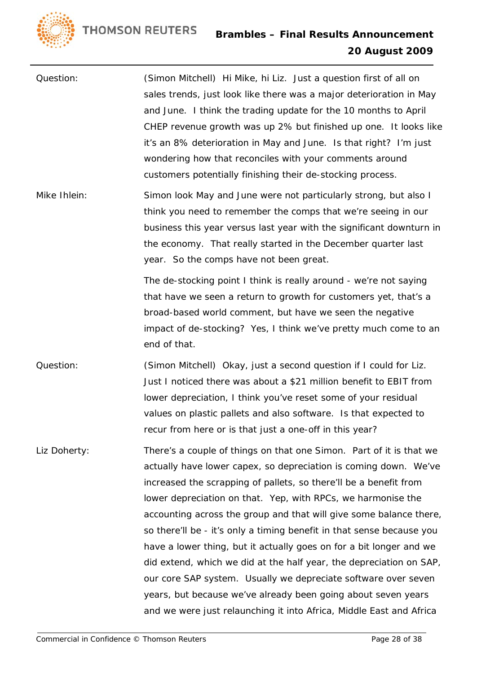

Question: (Simon Mitchell) Hi Mike, hi Liz. Just a question first of all on sales trends, just look like there was a major deterioration in May and June. I think the trading update for the 10 months to April CHEP revenue growth was up 2% but finished up one. It looks like it's an 8% deterioration in May and June. Is that right? I'm just wondering how that reconciles with your comments around customers potentially finishing their de-stocking process.

Mike Ihlein: Simon look May and June were not particularly strong, but also I think you need to remember the comps that we're seeing in our business this year versus last year with the significant downturn in the economy. That really started in the December quarter last year. So the comps have not been great.

> The de-stocking point I think is really around - we're not saying that have we seen a return to growth for customers yet, that's a broad-based world comment, but have we seen the negative impact of de-stocking? Yes, I think we've pretty much come to an end of that.

- Question: (Simon Mitchell) Okay, just a second question if I could for Liz. Just I noticed there was about a \$21 million benefit to EBIT from lower depreciation, I think you've reset some of your residual values on plastic pallets and also software. Is that expected to recur from here or is that just a one-off in this year?
- Liz Doherty: There's a couple of things on that one Simon. Part of it is that we actually have lower capex, so depreciation is coming down. We've increased the scrapping of pallets, so there'll be a benefit from lower depreciation on that. Yep, with RPCs, we harmonise the accounting across the group and that will give some balance there, so there'll be - it's only a timing benefit in that sense because you have a lower thing, but it actually goes on for a bit longer and we did extend, which we did at the half year, the depreciation on SAP, our core SAP system. Usually we depreciate software over seven years, but because we've already been going about seven years and we were just relaunching it into Africa, Middle East and Africa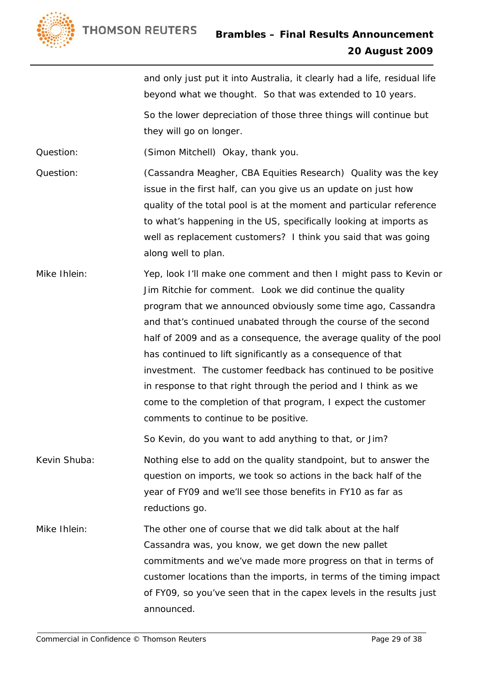and only just put it into Australia, it clearly had a life, residual life beyond what we thought. So that was extended to 10 years.

So the lower depreciation of those three things will continue but they will go on longer.

Question: (Simon Mitchell) Okay, thank you.

- Question: (Cassandra Meagher, CBA Equities Research) Quality was the key issue in the first half, can you give us an update on just how quality of the total pool is at the moment and particular reference to what's happening in the US, specifically looking at imports as well as replacement customers? I think you said that was going along well to plan.
- Mike Ihlein: Yep, look I'll make one comment and then I might pass to Kevin or Jim Ritchie for comment. Look we did continue the quality program that we announced obviously some time ago, Cassandra and that's continued unabated through the course of the second half of 2009 and as a consequence, the average quality of the pool has continued to lift significantly as a consequence of that investment. The customer feedback has continued to be positive in response to that right through the period and I think as we come to the completion of that program, I expect the customer comments to continue to be positive.

So Kevin, do you want to add anything to that, or Jim?

- Kevin Shuba: Nothing else to add on the quality standpoint, but to answer the question on imports, we took so actions in the back half of the year of FY09 and we'll see those benefits in FY10 as far as reductions go.
- Mike Ihlein: The other one of course that we did talk about at the half Cassandra was, you know, we get down the new pallet commitments and we've made more progress on that in terms of customer locations than the imports, in terms of the timing impact of FY09, so you've seen that in the capex levels in the results just announced.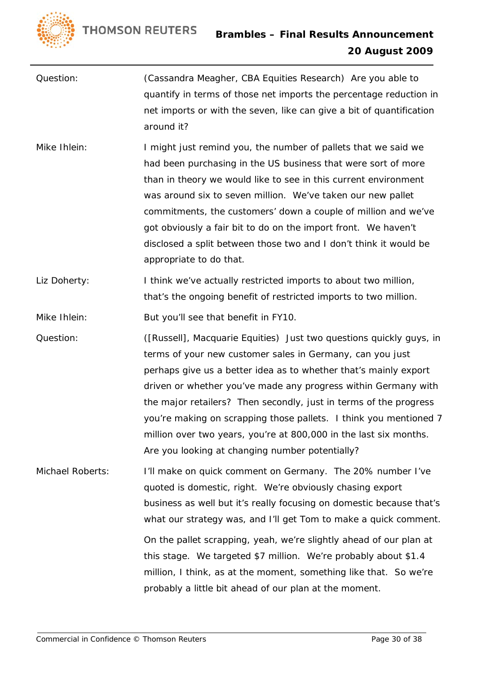

- Question: (Cassandra Meagher, CBA Equities Research) Are you able to quantify in terms of those net imports the percentage reduction in net imports or with the seven, like can give a bit of quantification around it?
- Mike Ihlein: I might just remind you, the number of pallets that we said we had been purchasing in the US business that were sort of more than in theory we would like to see in this current environment was around six to seven million. We've taken our new pallet commitments, the customers' down a couple of million and we've got obviously a fair bit to do on the import front. We haven't disclosed a split between those two and I don't think it would be appropriate to do that.
- Liz Doherty: I think we've actually restricted imports to about two million, that's the ongoing benefit of restricted imports to two million.

Mike Ihlein: But you'll see that benefit in FY10.

Question: ([Russell], Macquarie Equities) Just two questions quickly guys, in terms of your new customer sales in Germany, can you just perhaps give us a better idea as to whether that's mainly export driven or whether you've made any progress within Germany with the major retailers? Then secondly, just in terms of the progress you're making on scrapping those pallets. I think you mentioned 7 million over two years, you're at 800,000 in the last six months. Are you looking at changing number potentially?

Michael Roberts: I'll make on quick comment on Germany. The 20% number I've quoted is domestic, right. We're obviously chasing export business as well but it's really focusing on domestic because that's what our strategy was, and I'll get Tom to make a quick comment. On the pallet scrapping, yeah, we're slightly ahead of our plan at this stage. We targeted \$7 million. We're probably about \$1.4 million, I think, as at the moment, something like that. So we're probably a little bit ahead of our plan at the moment.

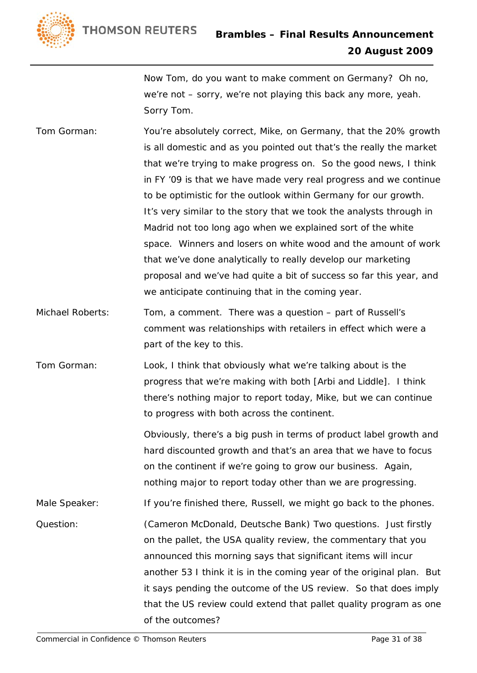

Now Tom, do you want to make comment on Germany? Oh no, we're not – sorry, we're not playing this back any more, yeah. Sorry Tom.

- Tom Gorman: You're absolutely correct, Mike, on Germany, that the 20% growth is all domestic and as you pointed out that's the really the market that we're trying to make progress on. So the good news, I think in FY '09 is that we have made very real progress and we continue to be optimistic for the outlook within Germany for our growth. It's very similar to the story that we took the analysts through in Madrid not too long ago when we explained sort of the white space. Winners and losers on white wood and the amount of work that we've done analytically to really develop our marketing proposal and we've had quite a bit of success so far this year, and we anticipate continuing that in the coming year.
- Michael Roberts: Tom, a comment. There was a question part of Russell's comment was relationships with retailers in effect which were a part of the key to this.
- Tom Gorman: Look, I think that obviously what we're talking about is the progress that we're making with both [Arbi and Liddle]. I think there's nothing major to report today, Mike, but we can continue to progress with both across the continent.

Obviously, there's a big push in terms of product label growth and hard discounted growth and that's an area that we have to focus on the continent if we're going to grow our business. Again, nothing major to report today other than we are progressing.

Male Speaker: If you're finished there, Russell, we might go back to the phones.

Question: (Cameron McDonald, Deutsche Bank) Two questions. Just firstly on the pallet, the USA quality review, the commentary that you announced this morning says that significant items will incur another 53 I think it is in the coming year of the original plan. But it says pending the outcome of the US review. So that does imply that the US review could extend that pallet quality program as one of the outcomes?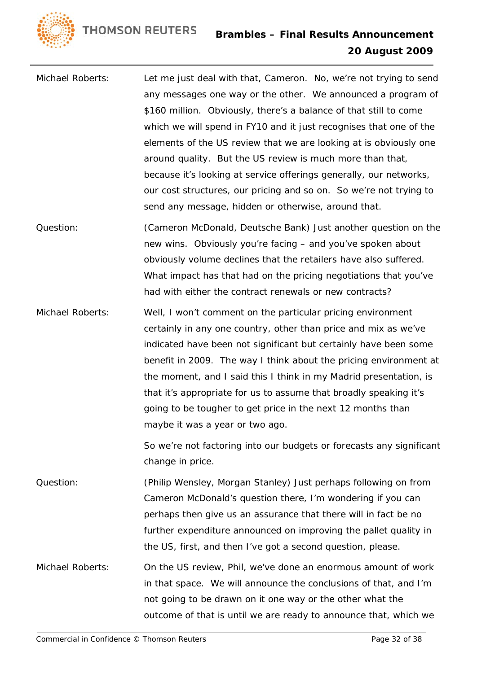- Michael Roberts: Let me just deal with that, Cameron. No, we're not trying to send any messages one way or the other. We announced a program of \$160 million. Obviously, there's a balance of that still to come which we will spend in FY10 and it just recognises that one of the elements of the US review that we are looking at is obviously one around quality. But the US review is much more than that, because it's looking at service offerings generally, our networks, our cost structures, our pricing and so on. So we're not trying to send any message, hidden or otherwise, around that.
- Question: (Cameron McDonald, Deutsche Bank) Just another question on the new wins. Obviously you're facing – and you've spoken about obviously volume declines that the retailers have also suffered. What impact has that had on the pricing negotiations that you've had with either the contract renewals or new contracts?
- Michael Roberts: Well, I won't comment on the particular pricing environment certainly in any one country, other than price and mix as we've indicated have been not significant but certainly have been some benefit in 2009. The way I think about the pricing environment at the moment, and I said this I think in my Madrid presentation, is that it's appropriate for us to assume that broadly speaking it's going to be tougher to get price in the next 12 months than maybe it was a year or two ago.

So we're not factoring into our budgets or forecasts any significant change in price.

Question: (Philip Wensley, Morgan Stanley) Just perhaps following on from Cameron McDonald's question there, I'm wondering if you can perhaps then give us an assurance that there will in fact be no further expenditure announced on improving the pallet quality in the US, first, and then I've got a second question, please.

Michael Roberts: On the US review, Phil, we've done an enormous amount of work in that space. We will announce the conclusions of that, and I'm not going to be drawn on it one way or the other what the outcome of that is until we are ready to announce that, which we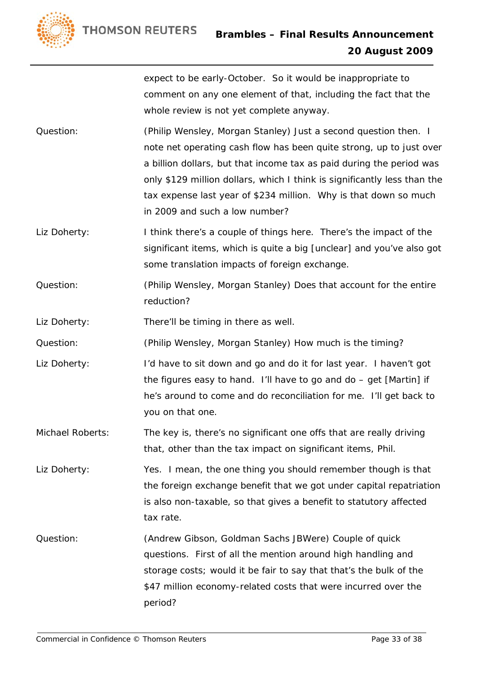

expect to be early-October. So it would be inappropriate to comment on any one element of that, including the fact that the whole review is not yet complete anyway.

- Question: (Philip Wensley, Morgan Stanley) Just a second question then. I note net operating cash flow has been quite strong, up to just over a billion dollars, but that income tax as paid during the period was only \$129 million dollars, which I think is significantly less than the tax expense last year of \$234 million. Why is that down so much in 2009 and such a low number?
- Liz Doherty: I think there's a couple of things here. There's the impact of the significant items, which is quite a big [unclear] and you've also got some translation impacts of foreign exchange.
- Question: (Philip Wensley, Morgan Stanley) Does that account for the entire reduction?

Liz Doherty: There'll be timing in there as well.

Question: (Philip Wensley, Morgan Stanley) How much is the timing?

- Liz Doherty: I'd have to sit down and go and do it for last year. I haven't got the figures easy to hand. I'll have to go and do – get [Martin] if he's around to come and do reconciliation for me. I'll get back to you on that one.
- Michael Roberts: The key is, there's no significant one offs that are really driving that, other than the tax impact on significant items, Phil.

Liz Doherty: Yes. I mean, the one thing you should remember though is that the foreign exchange benefit that we got under capital repatriation is also non-taxable, so that gives a benefit to statutory affected tax rate.

Question: (Andrew Gibson, Goldman Sachs JBWere) Couple of quick questions. First of all the mention around high handling and storage costs; would it be fair to say that that's the bulk of the \$47 million economy-related costs that were incurred over the period?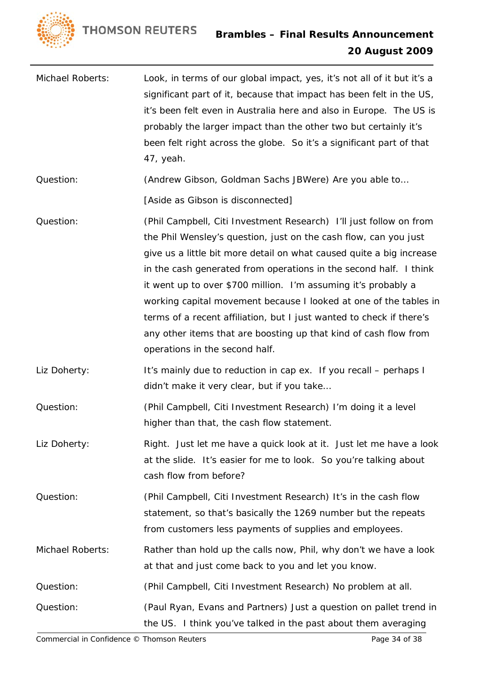

- Michael Roberts: Look, in terms of our global impact, yes, it's not all of it but it's a significant part of it, because that impact has been felt in the US, it's been felt even in Australia here and also in Europe. The US is probably the larger impact than the other two but certainly it's been felt right across the globe. So it's a significant part of that 47, yeah.
- Question: (Andrew Gibson, Goldman Sachs JBWere) Are you able to…

[Aside as Gibson is disconnected]

- Question: (Phil Campbell, Citi Investment Research) I'll just follow on from the Phil Wensley's question, just on the cash flow, can you just give us a little bit more detail on what caused quite a big increase in the cash generated from operations in the second half. I think it went up to over \$700 million. I'm assuming it's probably a working capital movement because I looked at one of the tables in terms of a recent affiliation, but I just wanted to check if there's any other items that are boosting up that kind of cash flow from operations in the second half.
- Liz Doherty: It's mainly due to reduction in cap ex. If you recall perhaps I didn't make it very clear, but if you take…
- Question: (Phil Campbell, Citi Investment Research) I'm doing it a level higher than that, the cash flow statement.
- Liz Doherty: Right. Just let me have a quick look at it. Just let me have a look at the slide. It's easier for me to look. So you're talking about cash flow from before?
- Question: (Phil Campbell, Citi Investment Research) It's in the cash flow statement, so that's basically the 1269 number but the repeats from customers less payments of supplies and employees.
- Michael Roberts: Rather than hold up the calls now, Phil, why don't we have a look at that and just come back to you and let you know.

Question: (Phil Campbell, Citi Investment Research) No problem at all.

Question: (Paul Ryan, Evans and Partners) Just a question on pallet trend in the US. I think you've talked in the past about them averaging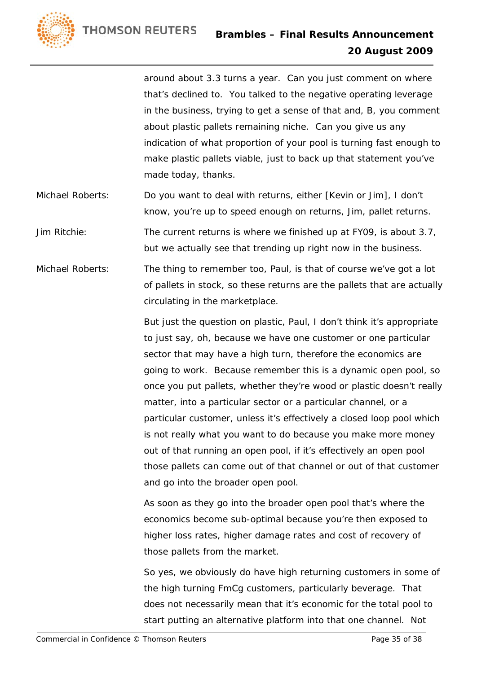



around about 3.3 turns a year. Can you just comment on where that's declined to. You talked to the negative operating leverage in the business, trying to get a sense of that and, B, you comment about plastic pallets remaining niche. Can you give us any indication of what proportion of your pool is turning fast enough to make plastic pallets viable, just to back up that statement you've made today, thanks.

Michael Roberts: Do you want to deal with returns, either [Kevin or Jim], I don't know, you're up to speed enough on returns, Jim, pallet returns.

Jim Ritchie: The current returns is where we finished up at FY09, is about 3.7, but we actually see that trending up right now in the business.

Michael Roberts: The thing to remember too, Paul, is that of course we've got a lot of pallets in stock, so these returns are the pallets that are actually circulating in the marketplace.

> But just the question on plastic, Paul, I don't think it's appropriate to just say, oh, because we have one customer or one particular sector that may have a high turn, therefore the economics are going to work. Because remember this is a dynamic open pool, so once you put pallets, whether they're wood or plastic doesn't really matter, into a particular sector or a particular channel, or a particular customer, unless it's effectively a closed loop pool which is not really what you want to do because you make more money out of that running an open pool, if it's effectively an open pool those pallets can come out of that channel or out of that customer and go into the broader open pool.

As soon as they go into the broader open pool that's where the economics become sub-optimal because you're then exposed to higher loss rates, higher damage rates and cost of recovery of those pallets from the market.

So yes, we obviously do have high returning customers in some of the high turning FmCg customers, particularly beverage. That does not necessarily mean that it's economic for the total pool to start putting an alternative platform into that one channel. Not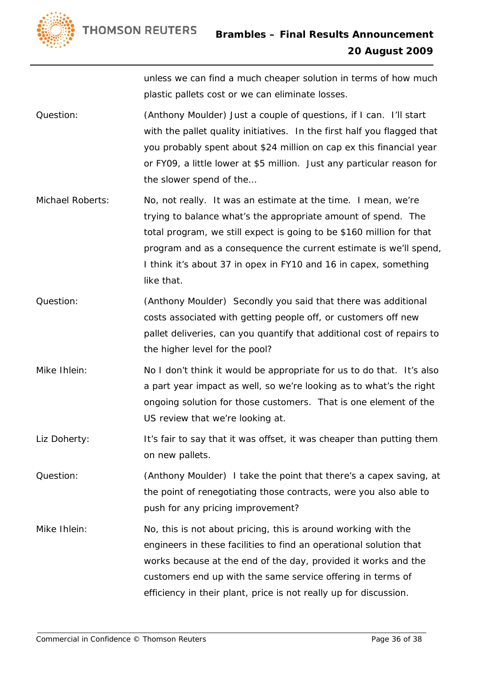

unless we can find a much cheaper solution in terms of how much plastic pallets cost or we can eliminate losses.

- Question: (Anthony Moulder) Just a couple of questions, if I can. I'll start with the pallet quality initiatives. In the first half you flagged that you probably spent about \$24 million on cap ex this financial year or FY09, a little lower at \$5 million. Just any particular reason for the slower spend of the…
- Michael Roberts: No, not really. It was an estimate at the time. I mean, we're trying to balance what's the appropriate amount of spend. The total program, we still expect is going to be \$160 million for that program and as a consequence the current estimate is we'll spend, I think it's about 37 in opex in FY10 and 16 in capex, something like that.
- Question: (Anthony Moulder) Secondly you said that there was additional costs associated with getting people off, or customers off new pallet deliveries, can you quantify that additional cost of repairs to the higher level for the pool?
- Mike Ihlein: No I don't think it would be appropriate for us to do that. It's also a part year impact as well, so we're looking as to what's the right ongoing solution for those customers. That is one element of the US review that we're looking at.
- Liz Doherty: It's fair to say that it was offset, it was cheaper than putting them on new pallets.
- Question: (Anthony Moulder) I take the point that there's a capex saving, at the point of renegotiating those contracts, were you also able to push for any pricing improvement?

Mike Ihlein: No, this is not about pricing, this is around working with the engineers in these facilities to find an operational solution that works because at the end of the day, provided it works and the customers end up with the same service offering in terms of efficiency in their plant, price is not really up for discussion.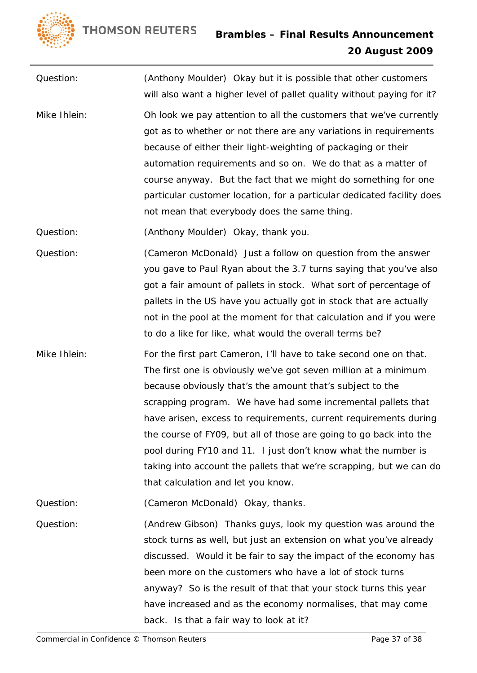

Question: (Anthony Moulder) Okay but it is possible that other customers will also want a higher level of pallet quality without paying for it? Mike Ihlein: Oh look we pay attention to all the customers that we've currently got as to whether or not there are any variations in requirements because of either their light-weighting of packaging or their automation requirements and so on. We do that as a matter of course anyway. But the fact that we might do something for one particular customer location, for a particular dedicated facility does not mean that everybody does the same thing. Question: (Anthony Moulder) Okay, thank you. Question: (Cameron McDonald) Just a follow on question from the answer you gave to Paul Ryan about the 3.7 turns saying that you've also got a fair amount of pallets in stock. What sort of percentage of pallets in the US have you actually got in stock that are actually not in the pool at the moment for that calculation and if you were to do a like for like, what would the overall terms be? Mike Ihlein: For the first part Cameron, I'll have to take second one on that. The first one is obviously we've got seven million at a minimum because obviously that's the amount that's subject to the

scrapping program. We have had some incremental pallets that have arisen, excess to requirements, current requirements during the course of FY09, but all of those are going to go back into the pool during FY10 and 11. I just don't know what the number is taking into account the pallets that we're scrapping, but we can do that calculation and let you know.

Question: (Cameron McDonald) Okay, thanks.

Question: (Andrew Gibson) Thanks guys, look my question was around the stock turns as well, but just an extension on what you've already discussed. Would it be fair to say the impact of the economy has been more on the customers who have a lot of stock turns anyway? So is the result of that that your stock turns this year have increased and as the economy normalises, that may come back. Is that a fair way to look at it?